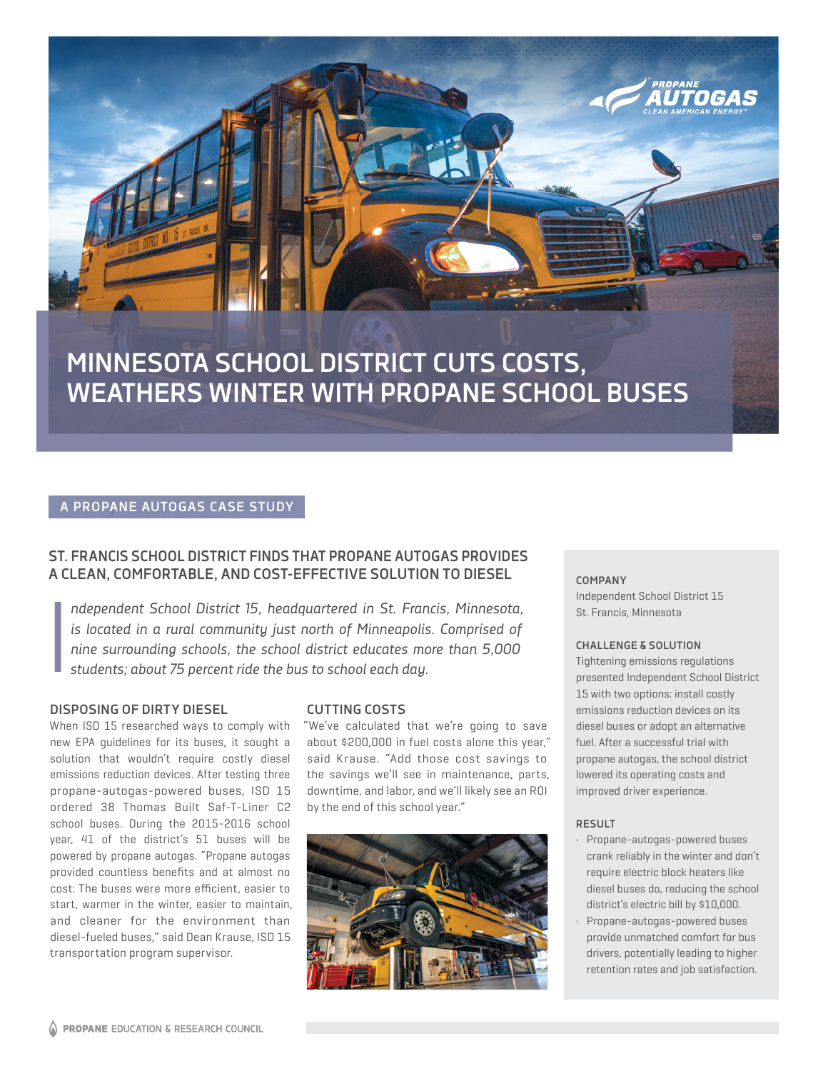

# **MINNESOTA SCHOOL DISTRICT CUTS COSTS, WEATHERS WINTER WITH PROPANE SCHOOL BUSES**

# **A PROPANE AUTOGAS CASE STUDY**

# **ST. FRANCIS SCHOOL DISTRICT FINDS THAT PROPANE AUTOGAS PROVIDES A CLEAN, COMFORTABLE, AND COST-EFFECTIVE SOLUTION TO DIESEL**

*ndependent School District 15, headquartered in St. Francis, Minnesota, is located in a rural community just north of Minneapolis. Comprised of ndependent School District 15, headquartered in St. Francis, Minnesota, is located in a rural community just north of Minneapolis. Comprised of nine surrounding schools, the school district educates more than 5,000 studen* 

## **DISPOSING OF DIRTY DIESEL**

When ISD 15 researched ways to comply with new EPA guidelines for its buses, it sought a solution that wouldn't require costly diesel emissions reduction devices. After testing three propane-autogas-powered buses, ISD 15 ordered 38 Thomas Built Saf-T-Liner C2 school buses. During the 2015-2016 school year, 41 of the district's 51 buses will be powered by propane autogas. "Propane autogas provided countless benefits and at almost no cost: The buses were more efficient, easier to start, warmer in the winter, easier to maintain, and cleaner for the environment than diesel-fueled buses," said Dean Krause, ISD 15 transportation program supervisor.

## **CUTTING COSTS**

"We've calculated that we're going to save about \$200,000 in fuel costs alone this year," said Krause. "Add those cost savings to the savings we'll see in maintenance, parts, downtime, and labor, and we'll likely see an ROI by the end of this school year."



## **COMPANY**

Independent School District 15 St. Francis, Minnesota

#### **CHALLENGE & SOLUTION**

Tightening emissions regulations presented Independent School District 15 with two options: install costly emissions reduction devices on its diesel buses or adopt an alternative fuel. After a successful trial with propane autogas, the school district lowered its operating costs and improved driver experience.

## **RESULT**

- Propane-autogas-powered buses crank reliably in the winter and don't require electric block heaters like diesel buses do, reducing the school district's electric bill by \$10,000.
- Propane-autogas-powered buses provide unmatched comfort for bus drivers, potentially leading to higher retention rates and job satisfaction.